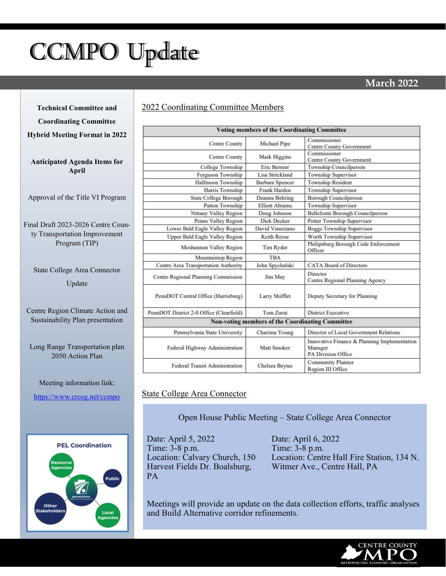# <span id="page-0-0"></span>CCMPO Update

# **March 2022**

**Technical Committee and** 

**Coordinating Committee**

**Hybrid Meeting Format in 2022**

**Anticipated Agenda Items for April**

Approval of the Title VI Program

Final Draft 2023-2026 Centre County Transportation Improvement Program (TIP)

State College Area Connector Update

Centre Region Climate Action and Sustainability Plan presentation

Long Range Transportation plan 2050 Action Plan

## Meeting information link: [https://www.crcog.net/ccmpo](#page-0-0)



### 2022 Coordinating Committee Members

| <b>Voting members of the Coordinating Committee</b>     |                        |                                                                                      |
|---------------------------------------------------------|------------------------|--------------------------------------------------------------------------------------|
| <b>Centre County</b>                                    | <b>Michael Pipe</b>    | Commissioner<br><b>Centre County Government</b>                                      |
| <b>Centre County</b>                                    | <b>Mark Higgins</b>    | Commissioner<br><b>Centre County Government</b>                                      |
| College Township                                        | <b>Eric Remier</b>     | <b>Township Councilperson</b>                                                        |
| <b>Ferguson Township</b>                                | <b>Lisa Strickland</b> | <b>Township Supervisor</b>                                                           |
| <b>Halfmoon Township</b>                                | <b>Barbara Spencer</b> | <b>Township Resident</b>                                                             |
| <b>Harris Township</b>                                  | <b>Frank Harden</b>    | <b>Township Supervisor</b>                                                           |
| <b>State College Borough</b>                            | <b>Deanna Behring</b>  | <b>Borough Councilperson</b>                                                         |
| <b>Patton Township</b>                                  | <b>Elliott Abrams</b>  | <b>Township Supervisor</b>                                                           |
| <b>Nittany Valley Region</b>                            | Doug Johnson           | <b>Bellefonte Borough Councilperson</b>                                              |
| <b>Penns Valley Region</b>                              | <b>Dick Decker</b>     | <b>Potter Township Supervisor</b>                                                    |
| Lower Bald Eagle Valley Region                          | David Veneziano        | <b>Boggs Township Supervisor</b>                                                     |
| <b>Upper Bald Eagle Valley Region</b>                   | <b>Keith Reese</b>     | Worth Township Supervisor                                                            |
| Moshannon Valley Region                                 | Tim Ryder              | Philipsburg Borough Code Enforcement<br>Officer                                      |
| <b>Mountaintop Region</b>                               | <b>TBA</b>             |                                                                                      |
| Centre Area Transportation Authority                    | John Spychalski        | <b>CATA Board of Directors</b>                                                       |
| <b>Centre Regional Planning Commission</b>              | Jim May                | Director<br><b>Centre Regional Planning Agency</b>                                   |
| PennDOT Central Office (Harrisburg)                     | Larry Shifflet         | Deputy Secretary for Planning                                                        |
| PennDOT District 2-0 Office (Clearfield)                | <b>Tom Zurat</b>       | <b>District Executive</b>                                                            |
| <b>Non-voting members of the Coordinating Committee</b> |                        |                                                                                      |
| Pennsylvania State University                           | Charima Young          | Director of Local Government Relations                                               |
| <b>Federal Highway Administration</b>                   | <b>Matt Smoker</b>     | Innovative Finance & Planning Implementation<br>Manager<br><b>PA Division Office</b> |
| <b>Federal Transit Administration</b>                   | Chelsea Beytas         | <b>Community Planner</b><br><b>Region III Office</b>                                 |

### State College Area Connector

Open House Public Meeting – State College Area Connector

Date: April 5, 2022 Time: 3-8 p.m. Location: Calvary Church, 150 Harvest Fields Dr. Boalsburg, PA

Date: April 6, 2022 Time: 3-8 p.m. Location: Centre Hall Fire Station, 134 N. Witmer Ave., Centre Hall, PA

Meetings will provide an update on the data collection efforts, traffic analyses and Build Alternative corridor refinements.